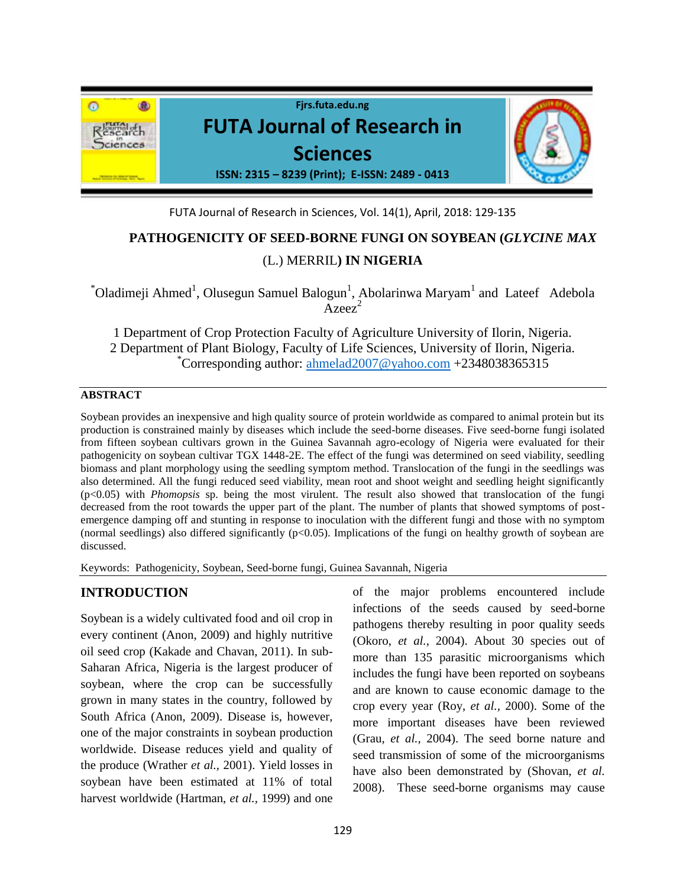

FUTA Journal of Research in Sciences, Vol. 14(1), April, 2018: 129-135

# **PATHOGENICITY OF SEED-BORNE FUNGI ON SOYBEAN (***GLYCINE MAX*  (L.) MERRIL**) IN NIGERIA**

 $\alpha$ <sup>\*</sup>Oladimeji Ahmed<sup>1</sup>, Olusegun Samuel Balogun<sup>1</sup>, Abolarinwa Maryam<sup>1</sup> and Lateef Adebola  $Area<sup>2</sup>$ 

1 Department of Crop Protection Faculty of Agriculture University of Ilorin, Nigeria. 2 Department of Plant Biology, Faculty of Life Sciences, University of Ilorin, Nigeria. Corresponding author: [ahmelad2007@yahoo.com](mailto:ahmelad2007@yahoo.com) +2348038365315

## **ABSTRACT**

Soybean provides an inexpensive and high quality source of protein worldwide as compared to animal protein but its production is constrained mainly by diseases which include the seed-borne diseases. Five seed-borne fungi isolated from fifteen soybean cultivars grown in the Guinea Savannah agro-ecology of Nigeria were evaluated for their pathogenicity on soybean cultivar TGX 1448-2E. The effect of the fungi was determined on seed viability, seedling biomass and plant morphology using the seedling symptom method. Translocation of the fungi in the seedlings was also determined. All the fungi reduced seed viability, mean root and shoot weight and seedling height significantly (p<0.05) with *Phomopsis* sp. being the most virulent. The result also showed that translocation of the fungi decreased from the root towards the upper part of the plant. The number of plants that showed symptoms of postemergence damping off and stunting in response to inoculation with the different fungi and those with no symptom (normal seedlings) also differed significantly  $(p<0.05)$ . Implications of the fungi on healthy growth of soybean are discussed.

Keywords: Pathogenicity, Soybean, Seed-borne fungi, Guinea Savannah, Nigeria

## **INTRODUCTION**

Soybean is a widely cultivated food and oil crop in every continent (Anon, 2009) and highly nutritive oil seed crop (Kakade and Chavan, 2011). In sub-Saharan Africa, Nigeria is the largest producer of soybean, where the crop can be successfully grown in many states in the country, followed by South Africa (Anon, 2009). Disease is, however, one of the major constraints in soybean production worldwide. Disease reduces yield and quality of the produce (Wrather *et al.,* 2001). Yield losses in soybean have been estimated at 11% of total harvest worldwide (Hartman, *et al.,* 1999) and one

of the major problems encountered include infections of the seeds caused by seed-borne pathogens thereby resulting in poor quality seeds (Okoro, *et al.,* 2004). About 30 species out of more than 135 parasitic microorganisms which includes the fungi have been reported on soybeans and are known to cause economic damage to the crop every year (Roy, *et al.,* 2000). Some of the more important diseases have been reviewed (Grau, *et al.,* 2004). The seed borne nature and seed transmission of some of the microorganisms have also been demonstrated by (Shovan, *et al.* 2008). These seed-borne organisms may cause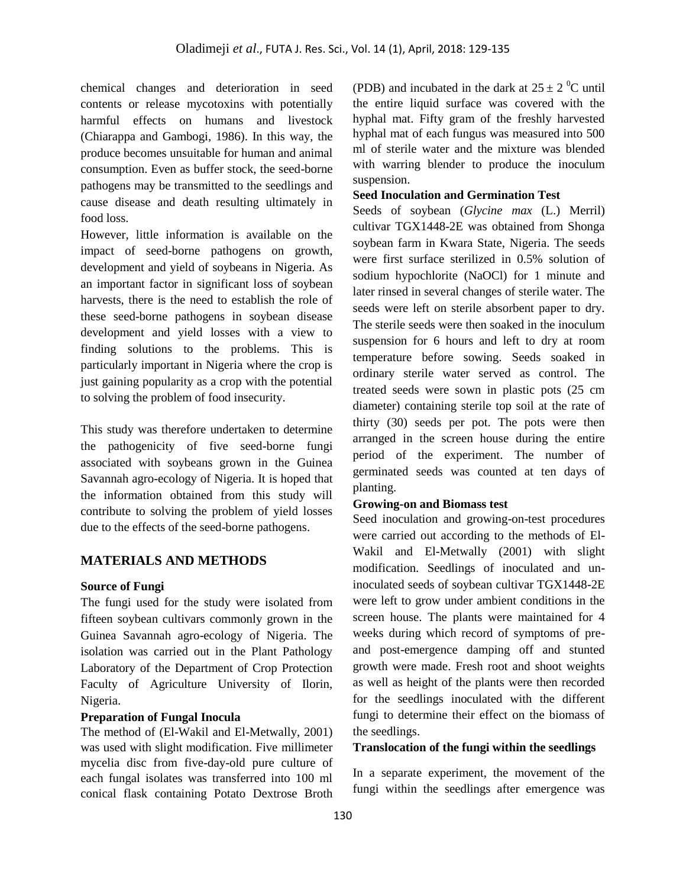chemical changes and deterioration in seed contents or release mycotoxins with potentially harmful effects on humans and livestock (Chiarappa and Gambogi, 1986). In this way, the produce becomes unsuitable for human and animal consumption. Even as buffer stock, the seed-borne pathogens may be transmitted to the seedlings and cause disease and death resulting ultimately in food loss.

However, little information is available on the impact of seed-borne pathogens on growth, development and yield of soybeans in Nigeria. As an important factor in significant loss of soybean harvests, there is the need to establish the role of these seed-borne pathogens in soybean disease development and yield losses with a view to finding solutions to the problems. This is particularly important in Nigeria where the crop is just gaining popularity as a crop with the potential to solving the problem of food insecurity.

This study was therefore undertaken to determine the pathogenicity of five seed-borne fungi associated with soybeans grown in the Guinea Savannah agro-ecology of Nigeria. It is hoped that the information obtained from this study will contribute to solving the problem of yield losses due to the effects of the seed-borne pathogens.

## **MATERIALS AND METHODS**

#### **Source of Fungi**

The fungi used for the study were isolated from fifteen soybean cultivars commonly grown in the Guinea Savannah agro-ecology of Nigeria. The isolation was carried out in the Plant Pathology Laboratory of the Department of Crop Protection Faculty of Agriculture University of Ilorin, Nigeria.

### **Preparation of Fungal Inocula**

The method of (El-Wakil and El-Metwally, 2001) was used with slight modification. Five millimeter mycelia disc from five-day-old pure culture of each fungal isolates was transferred into 100 ml conical flask containing Potato Dextrose Broth (PDB) and incubated in the dark at  $25 \pm 2$  °C until the entire liquid surface was covered with the hyphal mat. Fifty gram of the freshly harvested hyphal mat of each fungus was measured into 500 ml of sterile water and the mixture was blended with warring blender to produce the inoculum suspension.

#### **Seed Inoculation and Germination Test**

Seeds of soybean (*Glycine max* (L.) Merril) cultivar TGX1448-2E was obtained from Shonga soybean farm in Kwara State, Nigeria. The seeds were first surface sterilized in 0.5% solution of sodium hypochlorite (NaOCl) for 1 minute and later rinsed in several changes of sterile water. The seeds were left on sterile absorbent paper to dry. The sterile seeds were then soaked in the inoculum suspension for 6 hours and left to dry at room temperature before sowing. Seeds soaked in ordinary sterile water served as control. The treated seeds were sown in plastic pots (25 cm diameter) containing sterile top soil at the rate of thirty (30) seeds per pot. The pots were then arranged in the screen house during the entire period of the experiment. The number of germinated seeds was counted at ten days of planting.

#### **Growing-on and Biomass test**

Seed inoculation and growing-on-test procedures were carried out according to the methods of El-Wakil and El-Metwally (2001) with slight modification. Seedlings of inoculated and uninoculated seeds of soybean cultivar TGX1448-2E were left to grow under ambient conditions in the screen house. The plants were maintained for 4 weeks during which record of symptoms of preand post-emergence damping off and stunted growth were made. Fresh root and shoot weights as well as height of the plants were then recorded for the seedlings inoculated with the different fungi to determine their effect on the biomass of the seedlings.

## **Translocation of the fungi within the seedlings**

In a separate experiment, the movement of the fungi within the seedlings after emergence was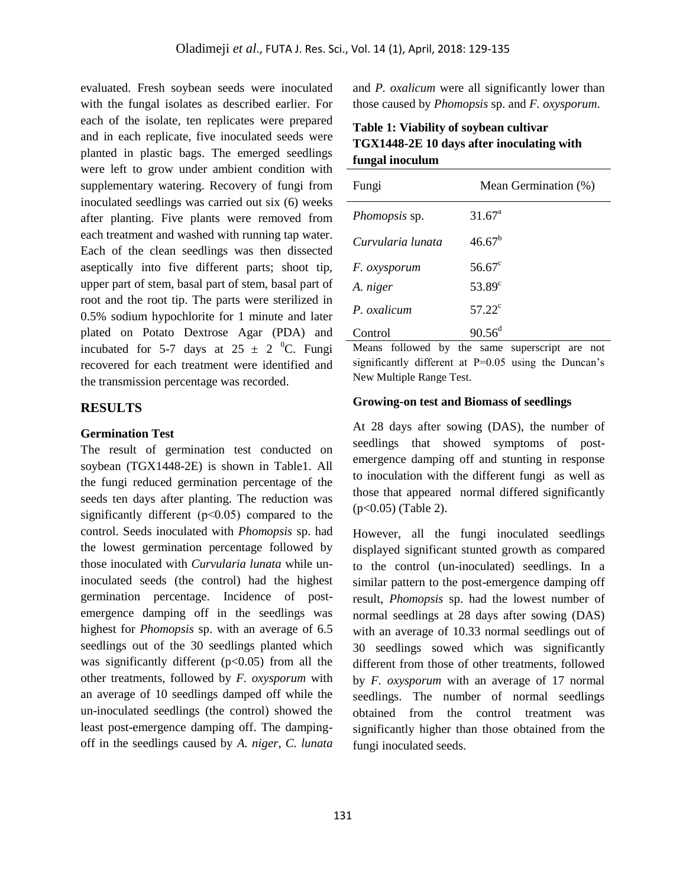evaluated. Fresh soybean seeds were inoculated with the fungal isolates as described earlier. For each of the isolate, ten replicates were prepared and in each replicate, five inoculated seeds were planted in plastic bags. The emerged seedlings were left to grow under ambient condition with supplementary watering. Recovery of fungi from inoculated seedlings was carried out six (6) weeks after planting. Five plants were removed from each treatment and washed with running tap water. Each of the clean seedlings was then dissected aseptically into five different parts; shoot tip, upper part of stem, basal part of stem, basal part of root and the root tip. The parts were sterilized in 0.5% sodium hypochlorite for 1 minute and later plated on Potato Dextrose Agar (PDA) and incubated for 5-7 days at  $25 \pm 2$  °C. Fungi recovered for each treatment were identified and the transmission percentage was recorded.

### **RESULTS**

## **Germination Test**

The result of germination test conducted on soybean (TGX1448-2E) is shown in Table1. All the fungi reduced germination percentage of the seeds ten days after planting. The reduction was significantly different ( $p<0.05$ ) compared to the control. Seeds inoculated with *Phomopsis* sp. had the lowest germination percentage followed by those inoculated with *Curvularia lunata* while uninoculated seeds (the control) had the highest germination percentage. Incidence of postemergence damping off in the seedlings was highest for *Phomopsis* sp. with an average of 6.5 seedlings out of the 30 seedlings planted which was significantly different  $(p<0.05)$  from all the other treatments, followed by *F. oxysporum* with an average of 10 seedlings damped off while the un-inoculated seedlings (the control) showed the least post-emergence damping off. The dampingoff in the seedlings caused by *A. niger, C. lunata* and *P. oxalicum* were all significantly lower than those caused by *Phomopsis* sp. and *F. oxysporum*.

**Table 1: Viability of soybean cultivar TGX1448-2E 10 days after inoculating with fungal inoculum**

| Fungi                | Mean Germination (%) |
|----------------------|----------------------|
| <i>Phomopsis</i> sp. | $31.67^{\circ}$      |
| Curvularia lunata    | $46.67^{\rm b}$      |
| F. oxysporum         | $56.67^{\circ}$      |
| A. niger             | $53.89^{\circ}$      |
| P. oxalicum          | $57.22^{\circ}$      |
| Control              | $90.56^{\text{d}}$   |

Means followed by the same superscript are not significantly different at P=0.05 using the Duncan's New Multiple Range Test.

#### **Growing-on test and Biomass of seedlings**

At 28 days after sowing (DAS), the number of seedlings that showed symptoms of postemergence damping off and stunting in response to inoculation with the different fungi as well as those that appeared normal differed significantly (p<0.05) (Table 2).

However, all the fungi inoculated seedlings displayed significant stunted growth as compared to the control (un-inoculated) seedlings. In a similar pattern to the post-emergence damping off result, *Phomopsis* sp. had the lowest number of normal seedlings at 28 days after sowing (DAS) with an average of 10.33 normal seedlings out of 30 seedlings sowed which was significantly different from those of other treatments, followed by *F. oxysporum* with an average of 17 normal seedlings. The number of normal seedlings obtained from the control treatment was significantly higher than those obtained from the fungi inoculated seeds.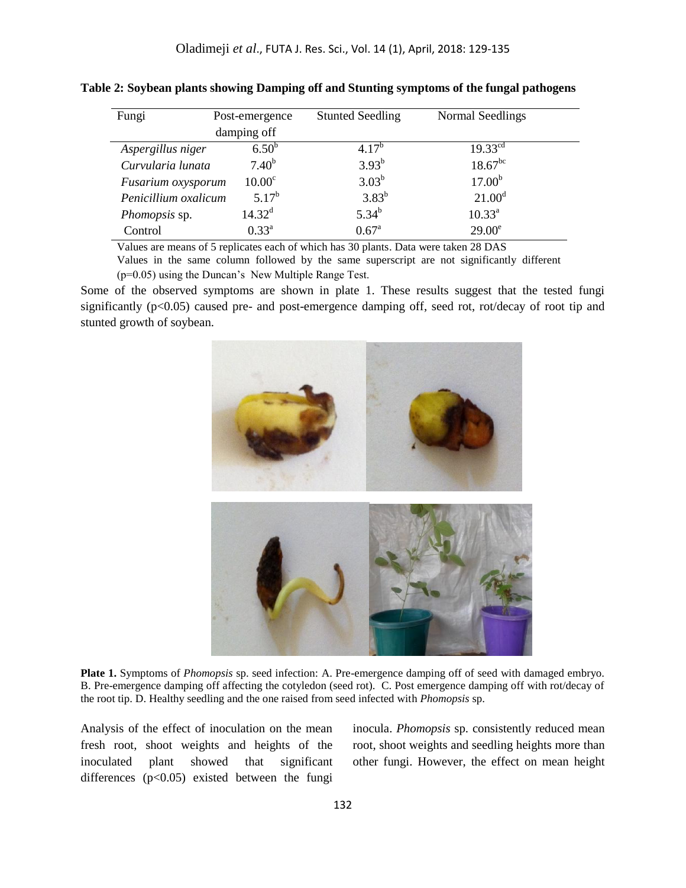| Fungi                | Post-emergence     | <b>Stunted Seedling</b> | Normal Seedlings   |
|----------------------|--------------------|-------------------------|--------------------|
|                      | damping off        |                         |                    |
| Aspergillus niger    | $6.50^{b}$         | $4.17^{b}$              | $19.33^{cd}$       |
| Curvularia lunata    | $7.40^{b}$         | $3.93^{b}$              | $18.67^{bc}$       |
| Fusarium oxysporum   | 10.00 <sup>c</sup> | $3.03^{b}$              | 17.00 <sup>b</sup> |
| Penicillium oxalicum | $5.17^{b}$         | $3.83^{b}$              | $21.00^d$          |
| Phomopsis sp.        | $14.32^{\rm d}$    | $5.34^{b}$              | $10.33^{a}$        |
| Control              | $0.33^{a}$         | $0.67^{\circ}$          | $29.00^{\circ}$    |

**Table 2: Soybean plants showing Damping off and Stunting symptoms of the fungal pathogens**

Values are means of 5 replicates each of which has 30 plants. Data were taken 28 DAS

Values in the same column followed by the same superscript are not significantly different (p=0.05) using the Duncan's New Multiple Range Test.

Some of the observed symptoms are shown in plate 1. These results suggest that the tested fungi significantly (p<0.05) caused pre- and post-emergence damping off, seed rot, rot/decay of root tip and stunted growth of soybean.



**Plate 1.** Symptoms of *Phomopsis* sp. seed infection: A. Pre-emergence damping off of seed with damaged embryo. B. Pre-emergence damping off affecting the cotyledon (seed rot). C. Post emergence damping off with rot/decay of the root tip. D. Healthy seedling and the one raised from seed infected with *Phomopsis* sp.

Analysis of the effect of inoculation on the mean fresh root, shoot weights and heights of the inoculated plant showed that significant differences  $(p<0.05)$  existed between the fungi

inocula. *Phomopsis* sp. consistently reduced mean root, shoot weights and seedling heights more than other fungi. However, the effect on mean height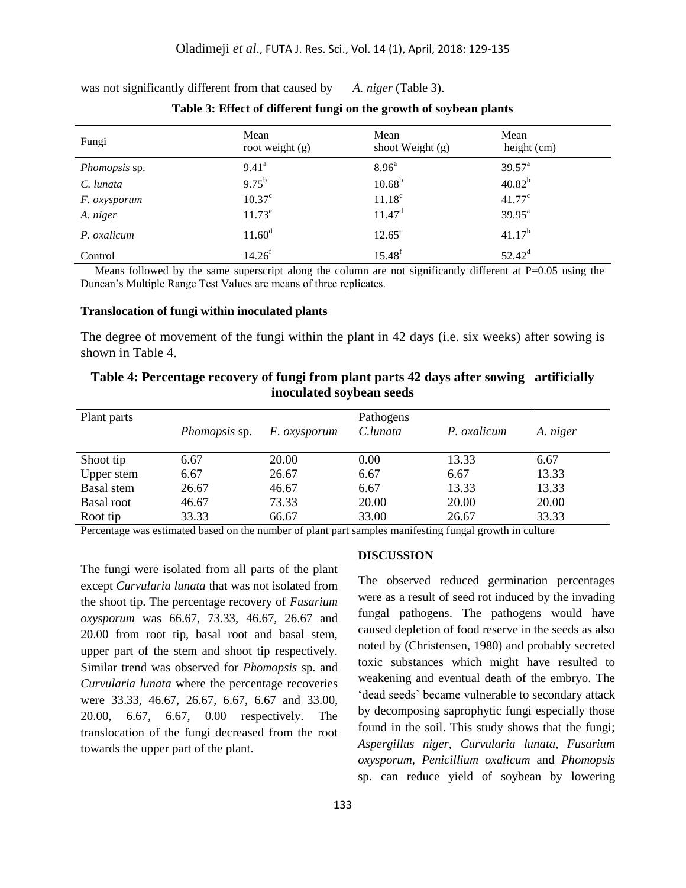| Fungi         | Mean<br>root weight $(g)$ | Mean<br>shoot Weight $(g)$ | Mean<br>height (cm) |
|---------------|---------------------------|----------------------------|---------------------|
| Phomopsis sp. | $9.41^{\circ}$            | 8.96 <sup>a</sup>          | $39.57^{\text{a}}$  |
| C. lunata     | $9.75^{b}$                | $10.68^{b}$                | $40.82^{b}$         |
| F. oxysporum  | $10.37^{\circ}$           | $11.18^c$                  | $41.77^c$           |
| A. niger      | $11.73^e$                 | $11.47^d$                  | $39.95^{\text{a}}$  |
| P. oxalicum   | $11.60^d$                 | $12.65^{\circ}$            | $41.17^{b}$         |
| Control       | 14.26 <sup>f</sup>        | $15.48^{f}$                | $52.42^{\rm d}$     |

was not significantly different from that caused by *A. niger* (Table 3).

Means followed by the same superscript along the column are not significantly different at  $P=0.05$  using the Duncan's Multiple Range Test Values are means of three replicates.

#### **Translocation of fungi within inoculated plants**

The degree of movement of the fungi within the plant in 42 days (i.e. six weeks) after sowing is shown in Table 4.

| inoculated soybean seeds |                      |                     |                       |             |          |  |
|--------------------------|----------------------|---------------------|-----------------------|-------------|----------|--|
| Plant parts              | <i>Phomopsis</i> sp. | <i>F. oxysporum</i> | Pathogens<br>C.lunata | P. oxalicum | A. niger |  |
| Shoot tip                | 6.67                 | 20.00               | 0.00                  | 13.33       | 6.67     |  |
| Upper stem               | 6.67                 | 26.67               | 6.67                  | 6.67        | 13.33    |  |
| Basal stem               | 26.67                | 46.67               | 6.67                  | 13.33       | 13.33    |  |
| Basal root               | 46.67                | 73.33               | 20.00                 | 20.00       | 20.00    |  |

| Table 4: Percentage recovery of fungi from plant parts 42 days after sowing artificially |  |  |  |  |
|------------------------------------------------------------------------------------------|--|--|--|--|
| inoculated soybean seeds                                                                 |  |  |  |  |

Percentage was estimated based on the number of plant part samples manifesting fungal growth in culture

66.67

The fungi were isolated from all parts of the plant except *Curvularia lunata* that was not isolated from the shoot tip. The percentage recovery of *Fusarium oxysporum* was 66.67, 73.33, 46.67, 26.67 and 20.00 from root tip, basal root and basal stem, upper part of the stem and shoot tip respectively. Similar trend was observed for *Phomopsis* sp. and *Curvularia lunata* where the percentage recoveries were 33.33, 46.67, 26.67, 6.67, 6.67 and 33.00, 20.00, 6.67, 6.67, 0.00 respectively. The translocation of the fungi decreased from the root towards the upper part of the plant.

33.33

Root tip

## **DISCUSSION**

33.00

The observed reduced germination percentages were as a result of seed rot induced by the invading fungal pathogens. The pathogens would have caused depletion of food reserve in the seeds as also noted by (Christensen, 1980) and probably secreted toxic substances which might have resulted to weakening and eventual death of the embryo. The 'dead seeds' became vulnerable to secondary attack by decomposing saprophytic fungi especially those found in the soil. This study shows that the fungi; *Aspergillus niger*, *Curvularia lunata*, *Fusarium oxysporum, Penicillium oxalicum* and *Phomopsis* sp. can reduce yield of soybean by lowering

26.67

33.33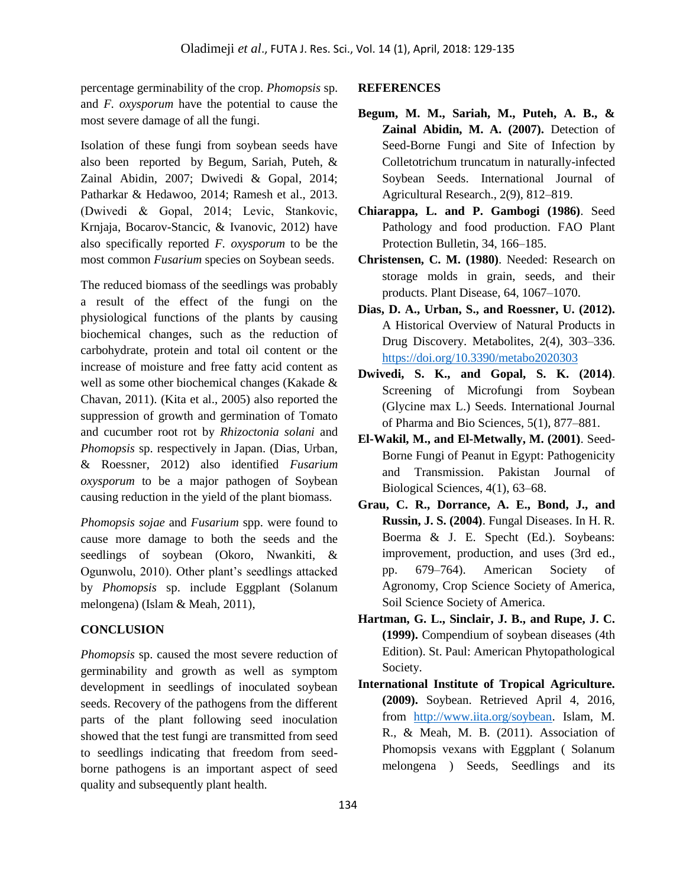percentage germinability of the crop. *Phomopsis* sp. and *F. oxysporum* have the potential to cause the most severe damage of all the fungi.

Isolation of these fungi from soybean seeds have also been reported by Begum, Sariah, Puteh, & Zainal Abidin, 2007; Dwivedi & Gopal, 2014; Patharkar & Hedawoo, 2014; Ramesh et al., 2013. (Dwivedi & Gopal, 2014; Levic, Stankоvic, Krnjaja, Bocarov-Stancic, & Ivanovic, 2012) have also specifically reported *F. oxysporum* to be the most common *Fusarium* species on Soybean seeds.

The reduced biomass of the seedlings was probably a result of the effect of the fungi on the physiological functions of the plants by causing biochemical changes, such as the reduction of carbohydrate, protein and total oil content or the increase of moisture and free fatty acid content as well as some other biochemical changes (Kakade & Chavan, 2011). (Kita et al., 2005) also reported the suppression of growth and germination of Tomato and cucumber root rot by *Rhizoctonia solani* and *Phomopsis* sp. respectively in Japan. (Dias, Urban, & Roessner, 2012) also identified *Fusarium oxysporum* to be a major pathogen of Soybean causing reduction in the yield of the plant biomass.

*Phomopsis sojae* and *Fusarium* spp. were found to cause more damage to both the seeds and the seedlings of soybean (Okoro, Nwankiti, & Ogunwolu, 2010). Other plant's seedlings attacked by *Phomopsis* sp. include Eggplant (Solanum melongena) (Islam & Meah, 2011),

## **CONCLUSION**

*Phomopsis* sp. caused the most severe reduction of germinability and growth as well as symptom development in seedlings of inoculated soybean seeds. Recovery of the pathogens from the different parts of the plant following seed inoculation showed that the test fungi are transmitted from seed to seedlings indicating that freedom from seedborne pathogens is an important aspect of seed quality and subsequently plant health.

#### **REFERENCES**

- **Begum, M. M., Sariah, M., Puteh, A. B., & Zainal Abidin, M. A. (2007).** Detection of Seed-Borne Fungi and Site of Infection by Colletotrichum truncatum in naturally-infected Soybean Seeds. International Journal of Agricultural Research., 2(9), 812–819.
- **Chiarappa, L. and P. Gambogi (1986)**. Seed Pathology and food production. FAO Plant Protection Bulletin, 34, 166–185.
- **Christensen, C. M. (1980)**. Needed: Research on storage molds in grain, seeds, and their products. Plant Disease, 64, 1067–1070.
- **Dias, D. A., Urban, S., and Roessner, U. (2012).** A Historical Overview of Natural Products in Drug Discovery. Metabolites, 2(4), 303–336. <https://doi.org/10.3390/metabo2020303>
- **Dwivedi, S. K., and Gopal, S. K. (2014)**. Screening of Microfungi from Soybean (Glycine max L.) Seeds. International Journal of Pharma and Bio Sciences, 5(1), 877–881.
- **El-Wakil, M., and El-Metwally, M. (2001)**. Seed-Borne Fungi of Peanut in Egypt: Pathogenicity and Transmission. Pakistan Journal of Biological Sciences, 4(1), 63–68.
- **Grau, C. R., Dorrance, A. E., Bond, J., and Russin, J. S. (2004)**. Fungal Diseases. In H. R. Boerma & J. E. Specht (Ed.). Soybeans: improvement, production, and uses (3rd ed., pp. 679–764). American Society of Agronomy, Crop Science Society of America, Soil Science Society of America.
- **Hartman, G. L., Sinclair, J. B., and Rupe, J. C. (1999).** Compendium of soybean diseases (4th Edition). St. Paul: American Phytopathological Society.
- **International Institute of Tropical Agriculture. (2009).** Soybean. Retrieved April 4, 2016, from [http://www.iita.org/soybean.](http://www.iita.org/soybean) Islam, M. R., & Meah, M. B. (2011). Association of Phomopsis vexans with Eggplant ( Solanum melongena ) Seeds, Seedlings and its